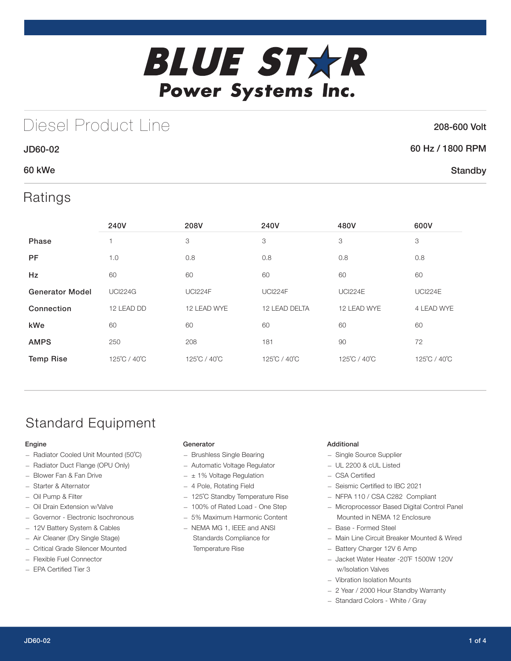

## Diesel Product Line

### 208-600 Volt

**Standby** 

### 60 Hz / 1800 RPM

### 60 kWe

JD60-02

### Ratings

|                        | 240V           | 208V           | 240V           | 480V           | 600V           |
|------------------------|----------------|----------------|----------------|----------------|----------------|
| Phase                  |                | 3              | 3              | 3              | 3              |
| <b>PF</b>              | 1.0            | 0.8            | 0.8            | 0.8            | 0.8            |
| Hz                     | 60             | 60             | 60             | 60             | 60             |
| <b>Generator Model</b> | <b>UCI224G</b> | <b>UCI224F</b> | <b>UCI224F</b> | <b>UCI224E</b> | <b>UCI224E</b> |
| Connection             | 12 LEAD DD     | 12 LEAD WYE    | 12 LEAD DELTA  | 12 LEAD WYE    | 4 LEAD WYE     |
| kWe                    | 60             | 60             | 60             | 60             | 60             |
| <b>AMPS</b>            | 250            | 208            | 181            | 90             | 72             |
| <b>Temp Rise</b>       | 125°C / 40°C   | 125°C / 40°C   | 125°C / 40°C   | 125°C / 40°C   | 125°C / 40°C   |

## Standard Equipment

#### Engine

- Radiator Cooled Unit Mounted (50˚C)
- Radiator Duct Flange (OPU Only)
- Blower Fan & Fan Drive
- Starter & Alternator
- Oil Pump & Filter
- Oil Drain Extension w/Valve
- Governor Electronic Isochronous
- 12V Battery System & Cables
- Air Cleaner (Dry Single Stage)
- Critical Grade Silencer Mounted
- Flexible Fuel Connector
- EPA Certified Tier 3

#### **Generator**

- Brushless Single Bearing
- Automatic Voltage Regulator
- $\pm$  1% Voltage Regulation
- 4 Pole, Rotating Field
- 125˚C Standby Temperature Rise
- 100% of Rated Load One Step
- 5% Maximum Harmonic Content
- NEMA MG 1, IEEE and ANSI Standards Compliance for Temperature Rise

#### Additional

- Single Source Supplier
- UL 2200 & cUL Listed
- CSA Certified
- Seismic Certified to IBC 2021
- NFPA 110 / CSA C282 Compliant
- Microprocessor Based Digital Control Panel Mounted in NEMA 12 Enclosure
- Base Formed Steel
- Main Line Circuit Breaker Mounted & Wired
- Battery Charger 12V 6 Amp
- Jacket Water Heater -20˚F 1500W 120V w/Isolation Valves
- Vibration Isolation Mounts
- 2 Year / 2000 Hour Standby Warranty
- Standard Colors White / Gray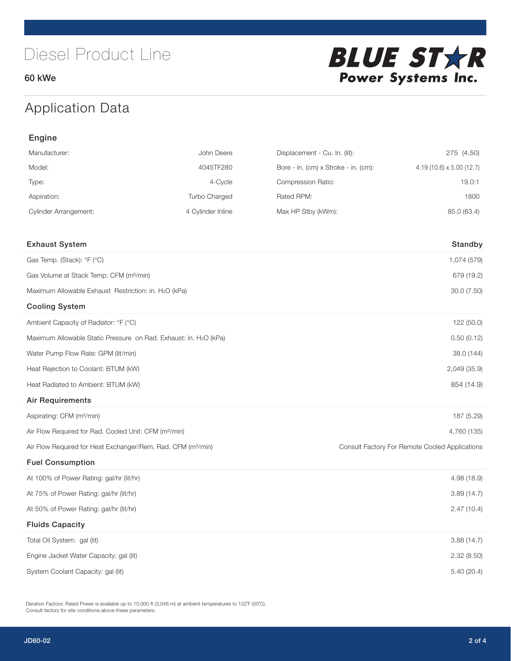60 kWe



## Application Data

| Engine                                                                   |                   |                                                |                                |  |  |
|--------------------------------------------------------------------------|-------------------|------------------------------------------------|--------------------------------|--|--|
| Manufacturer:                                                            | John Deere        | Displacement - Cu. In. (lit):                  | 275 (4.50)                     |  |  |
| Model:                                                                   | 4045TF280         | Bore - in. (cm) x Stroke - in. (cm):           | $4.19(10.6) \times 5.00(12.7)$ |  |  |
| Type:                                                                    | 4-Cycle           | Compression Ratio:                             | 19.0:1                         |  |  |
| Aspiration:                                                              | Turbo Charged     | Rated RPM:                                     | 1800                           |  |  |
| <b>Cylinder Arrangement:</b>                                             | 4 Cylinder Inline | Max HP Stby (kWm):                             | 85.0 (63.4)                    |  |  |
|                                                                          |                   |                                                |                                |  |  |
| <b>Exhaust System</b>                                                    |                   |                                                | Standby                        |  |  |
| Gas Temp. (Stack): °F (°C)                                               |                   |                                                | 1,074 (579)                    |  |  |
| Gas Volume at Stack Temp: CFM (m <sup>3</sup> /min)                      |                   |                                                | 679 (19.2)                     |  |  |
| Maximum Allowable Exhaust Restriction: in. H2O (kPa)                     |                   |                                                | 30.0 (7.50)                    |  |  |
| <b>Cooling System</b>                                                    |                   |                                                |                                |  |  |
| Ambient Capacity of Radiator: °F (°C)                                    |                   |                                                | 122 (50.0)                     |  |  |
| Maximum Allowable Static Pressure on Rad. Exhaust: in. H2O (kPa)         |                   | 0.50(0.12)                                     |                                |  |  |
| Water Pump Flow Rate: GPM (lit/min)                                      |                   |                                                | 38.0 (144)                     |  |  |
| Heat Rejection to Coolant: BTUM (kW)                                     |                   |                                                | 2,049 (35.9)                   |  |  |
| Heat Radiated to Ambient: BTUM (kW)                                      |                   |                                                | 854 (14.9)                     |  |  |
| <b>Air Requirements</b>                                                  |                   |                                                |                                |  |  |
| Aspirating: CFM (m <sup>3</sup> /min)                                    |                   |                                                | 187 (5.29)                     |  |  |
| Air Flow Required for Rad. Cooled Unit: CFM (m <sup>3</sup> /min)        |                   |                                                | 4,760 (135)                    |  |  |
| Air Flow Required for Heat Exchanger/Rem. Rad. CFM (m <sup>3</sup> /min) |                   | Consult Factory For Remote Cooled Applications |                                |  |  |
| <b>Fuel Consumption</b>                                                  |                   |                                                |                                |  |  |
| At 100% of Power Rating: gal/hr (lit/hr)                                 |                   |                                                | 4.98(18.9)                     |  |  |
| At 75% of Power Rating: gal/hr (lit/hr)                                  |                   |                                                | 3.89(14.7)                     |  |  |
| At 50% of Power Rating: gal/hr (lit/hr)                                  |                   |                                                | 2.47(10.4)                     |  |  |
| <b>Fluids Capacity</b>                                                   |                   |                                                |                                |  |  |
| Total Oil System: gal (lit)                                              |                   |                                                | 3.88(14.7)                     |  |  |
| Engine Jacket Water Capacity: gal (lit)                                  |                   |                                                | 2.32(8.50)                     |  |  |
| System Coolant Capacity: gal (lit)                                       |                   |                                                | 5.40 (20.4)                    |  |  |

Deration Factors: Rated Power is available up to 10,000 ft (3,048 m) at ambient temperatures to 122°F (50°C). Consult factory for site conditions above these parameters.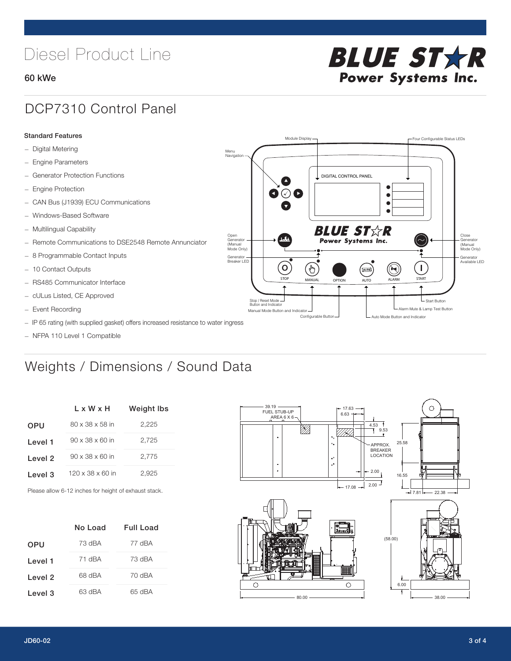# Diesel Product Line

### 60 kWe



### DCP7310 Control Panel

#### Standard Features

- Digital Metering
- Engine Parameters
- Generator Protection Functions
- Engine Protection
- CAN Bus (J1939) ECU Communications
- Windows-Based Software
- Multilingual Capability
- Remote Communications to DSE2548 Remote Annunciator
- 8 Programmable Contact Inputs
- 10 Contact Outputs
- RS485 Communicator Interface
- cULus Listed, CE Approved
- Event Recording
- IP 65 rating (with supplied gasket) offers increased resistance to water ingress
- NFPA 110 Level 1 Compatible

## Weights / Dimensions / Sound Data

|            | L x W x H                    | Weight Ibs |
|------------|------------------------------|------------|
| <b>OPU</b> | 80 x 38 x 58 in              | 2.225      |
| Level 1    | $90 \times 38 \times 60$ in  | 2,725      |
| Level 2    | $90 \times 38 \times 60$ in  | 2,775      |
| Level 3    | $120 \times 38 \times 60$ in | 2,925      |

Please allow 6-12 inches for height of exhaust stack.

|            | No Load | Full Load |
|------------|---------|-----------|
| <b>OPU</b> | 73 dBA  | 77 dBA    |
| Level 1    | 71 dBA  | 73 dBA    |
| Level 2    | 68 dBA  | 70 dBA    |
| Level 3    | 63 dBA  | 65 dBA    |



STOP MANUAL OPTION AUTO ALARM START

[AUTO]

**BLUE STAR** Power Systems Inc.

Manual Mode Button and Indicator Sultane Mute & Lamp Test Button Mute & Lamp Test Button Mute & Lamp Test Button Configurable Button -  $\Box$  Auto Mode Button and Indicator

DIGITAL CONTROL PANEL

Module Display  $\Box$ 

 $\bullet$  $\bullet$  $\bullet$ 

 $\circledcirc$ 

Menu Navigation

Open Generator (Manual Mode Only)

Generator Breaker LED

Stop / Reset Mode Button and Indicator

 $\bullet$  $\bullet$   $\circ$   $\bullet$ 

 $\sigma$ 

՟Պ

Close Generator (Manual Mode Only)

Generator Available LED

L Start Button

 $\blacksquare$